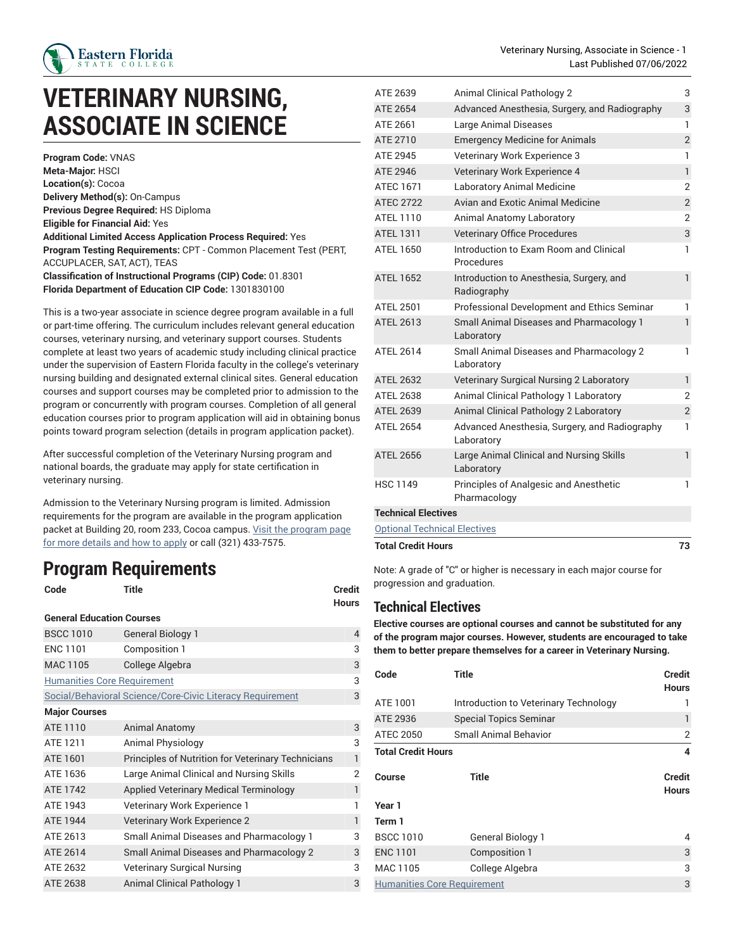

## **VETERINARY NURSING, ASSOCIATE IN SCIENCE**

**Program Code:** VNAS **Meta-Major:** HSCI **Location(s):** Cocoa **Delivery Method(s):** On-Campus **Previous Degree Required:** HS Diploma **Eligible for Financial Aid:** Yes **Additional Limited Access Application Process Required:** Yes **Program Testing Requirements:** CPT - Common Placement Test (PERT, ACCUPLACER, SAT, ACT), TEAS **Classification of Instructional Programs (CIP) Code:** 01.8301 **Florida Department of Education CIP Code:** 1301830100

This is a two-year associate in science degree program available in a full or part-time offering. The curriculum includes relevant general education courses, veterinary nursing, and veterinary support courses. Students complete at least two years of academic study including clinical practice under the supervision of Eastern Florida faculty in the college's veterinary nursing building and designated external clinical sites. General education courses and support courses may be completed prior to admission to the program or concurrently with program courses. Completion of all general education courses prior to program application will aid in obtaining bonus points toward program selection (details in program application packet).

After successful completion of the Veterinary Nursing program and national boards, the graduate may apply for state certification in veterinary nursing.

Admission to the Veterinary Nursing program is limited. Admission requirements for the program are available in the program application packet at Building 20, room 233, Cocoa campus. Visit the [program](https://www.easternflorida.edu/academics/health-nursing/our-programs/veterinary-nursing/) page for more [details](https://www.easternflorida.edu/academics/health-nursing/our-programs/veterinary-nursing/) and how to apply or call (321) 433-7575.

## **Program Requirements**

| Code                               | Title                                                     | <b>Credit</b><br><b>Hours</b> |  |  |  |  |
|------------------------------------|-----------------------------------------------------------|-------------------------------|--|--|--|--|
| <b>General Education Courses</b>   |                                                           |                               |  |  |  |  |
| <b>BSCC 1010</b>                   | <b>General Biology 1</b>                                  | 4                             |  |  |  |  |
| <b>ENC 1101</b>                    | Composition 1                                             | 3                             |  |  |  |  |
| <b>MAC 1105</b>                    | College Algebra                                           | 3                             |  |  |  |  |
| <b>Humanities Core Requirement</b> |                                                           | 3                             |  |  |  |  |
|                                    | Social/Behavioral Science/Core-Civic Literacy Requirement | 3                             |  |  |  |  |
| <b>Major Courses</b>               |                                                           |                               |  |  |  |  |
| ATE 1110                           | <b>Animal Anatomy</b>                                     | 3                             |  |  |  |  |
| ATE 1211                           | Animal Physiology                                         | 3                             |  |  |  |  |
| ATE 1601                           | Principles of Nutrition for Veterinary Technicians        | 1                             |  |  |  |  |
| ATE 1636                           | Large Animal Clinical and Nursing Skills                  | 2                             |  |  |  |  |
| ATF 1742                           | Applied Veterinary Medical Terminology                    | 1                             |  |  |  |  |
| ATE 1943                           | Veterinary Work Experience 1                              | 1                             |  |  |  |  |
| ATE 1944                           | Veterinary Work Experience 2                              | 1                             |  |  |  |  |
| ATE 2613                           | <b>Small Animal Diseases and Pharmacology 1</b>           | 3                             |  |  |  |  |
| ATE 2614                           | Small Animal Diseases and Pharmacology 2                  | 3                             |  |  |  |  |
| ATE 2632                           | <b>Veterinary Surgical Nursing</b>                        | 3                             |  |  |  |  |
| ATE 2638                           | <b>Animal Clinical Pathology 1</b>                        | 3                             |  |  |  |  |

| ATE 2639                            | Animal Clinical Pathology 2                                 | 3              |  |  |
|-------------------------------------|-------------------------------------------------------------|----------------|--|--|
| ATE 2654                            | Advanced Anesthesia, Surgery, and Radiography               | 3              |  |  |
| ATE 2661                            | Large Animal Diseases                                       | 1              |  |  |
| ATE 2710                            | <b>Emergency Medicine for Animals</b>                       | $\overline{2}$ |  |  |
| ATE 2945                            | Veterinary Work Experience 3                                | 1              |  |  |
| ATE 2946                            | Veterinary Work Experience 4                                | $\mathbf{1}$   |  |  |
| <b>ATEC 1671</b>                    | <b>Laboratory Animal Medicine</b>                           | $\overline{2}$ |  |  |
| <b>ATEC 2722</b>                    | Avian and Exotic Animal Medicine                            | $\overline{c}$ |  |  |
| ATEL 1110                           | Animal Anatomy Laboratory                                   | $\overline{2}$ |  |  |
| <b>ATEL 1311</b>                    | <b>Veterinary Office Procedures</b>                         | 3              |  |  |
| <b>ATEL 1650</b>                    | Introduction to Exam Room and Clinical<br>Procedures        | 1              |  |  |
| <b>ATEL 1652</b>                    | Introduction to Anesthesia, Surgery, and<br>Radiography     | $\mathbf{1}$   |  |  |
| ATEL 2501                           | Professional Development and Ethics Seminar                 | 1              |  |  |
| <b>ATEL 2613</b>                    | Small Animal Diseases and Pharmacology 1<br>Laboratory      | $\mathbf{1}$   |  |  |
| <b>ATEL 2614</b>                    | Small Animal Diseases and Pharmacology 2<br>Laboratory      | 1              |  |  |
| <b>ATEL 2632</b>                    | Veterinary Surgical Nursing 2 Laboratory                    | $\mathbf{1}$   |  |  |
| <b>ATEL 2638</b>                    | Animal Clinical Pathology 1 Laboratory                      | 2              |  |  |
| <b>ATEL 2639</b>                    | Animal Clinical Pathology 2 Laboratory                      | $\overline{2}$ |  |  |
| <b>ATEL 2654</b>                    | Advanced Anesthesia, Surgery, and Radiography<br>Laboratory | 1              |  |  |
| <b>ATEL 2656</b>                    | Large Animal Clinical and Nursing Skills<br>Laboratory      | $\mathbf{1}$   |  |  |
| <b>HSC 1149</b>                     | Principles of Analgesic and Anesthetic<br>Pharmacology      | 1              |  |  |
| <b>Technical Electives</b>          |                                                             |                |  |  |
| <b>Optional Technical Electives</b> |                                                             |                |  |  |
|                                     |                                                             |                |  |  |

**Total Credit Hours 73**

Note: A grade of "C" or higher is necessary in each major course for progression and graduation.

## <span id="page-0-0"></span>**Technical Electives**

**Elective courses are optional courses and cannot be substituted for any of the program major courses. However, students are encouraged to take them to better prepare themselves for a career in Veterinary Nursing.**

| Code                               | <b>Title</b>                          | Credit<br><b>Hours</b>        |  |  |
|------------------------------------|---------------------------------------|-------------------------------|--|--|
|                                    |                                       |                               |  |  |
| ATE 1001                           | Introduction to Veterinary Technology |                               |  |  |
| ATE 2936                           | <b>Special Topics Seminar</b>         | 1                             |  |  |
| <b>ATEC 2050</b>                   | Small Animal Behavior                 | 2                             |  |  |
| <b>Total Credit Hours</b>          | 4                                     |                               |  |  |
| Course                             | Title                                 | <b>Credit</b><br><b>Hours</b> |  |  |
| Year 1                             |                                       |                               |  |  |
| Term 1                             |                                       |                               |  |  |
| <b>BSCC 1010</b>                   | General Biology 1                     | 4                             |  |  |
| <b>ENC 1101</b>                    | Composition 1                         | 3                             |  |  |
| MAC 1105                           | College Algebra                       | 3                             |  |  |
| <b>Humanities Core Requirement</b> |                                       |                               |  |  |